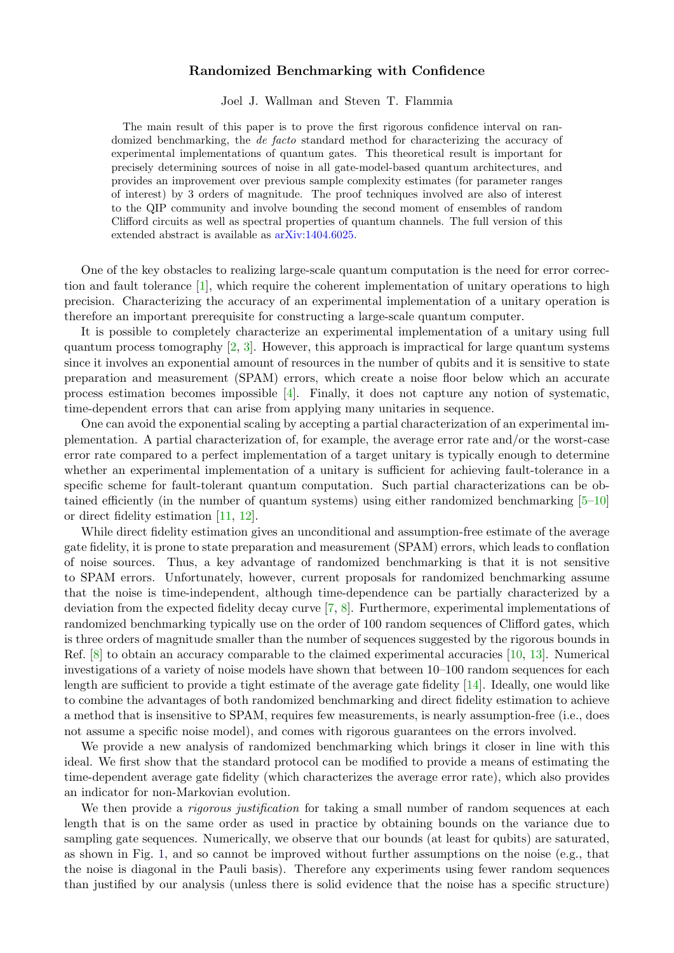## Randomized Benchmarking with Confidence

Joel J. Wallman and Steven T. Flammia

The main result of this paper is to prove the first rigorous confidence interval on randomized benchmarking, the de facto standard method for characterizing the accuracy of experimental implementations of quantum gates. This theoretical result is important for precisely determining sources of noise in all gate-model-based quantum architectures, and provides an improvement over previous sample complexity estimates (for parameter ranges of interest) by 3 orders of magnitude. The proof techniques involved are also of interest to the QIP community and involve bounding the second moment of ensembles of random Clifford circuits as well as spectral properties of quantum channels. The full version of this extended abstract is available as [arXiv:1404.6025.](http://arxiv.org/abs/1404.6025)

One of the key obstacles to realizing large-scale quantum computation is the need for error correction and fault tolerance [\[1\]](#page-2-0), which require the coherent implementation of unitary operations to high precision. Characterizing the accuracy of an experimental implementation of a unitary operation is therefore an important prerequisite for constructing a large-scale quantum computer.

It is possible to completely characterize an experimental implementation of a unitary using full quantum process tomography  $[2, 3]$  $[2, 3]$  $[2, 3]$ . However, this approach is impractical for large quantum systems since it involves an exponential amount of resources in the number of qubits and it is sensitive to state preparation and measurement (SPAM) errors, which create a noise floor below which an accurate process estimation becomes impossible [\[4\]](#page-2-3). Finally, it does not capture any notion of systematic, time-dependent errors that can arise from applying many unitaries in sequence.

One can avoid the exponential scaling by accepting a partial characterization of an experimental implementation. A partial characterization of, for example, the average error rate and/or the worst-case error rate compared to a perfect implementation of a target unitary is typically enough to determine whether an experimental implementation of a unitary is sufficient for achieving fault-tolerance in a specific scheme for fault-tolerant quantum computation. Such partial characterizations can be obtained efficiently (in the number of quantum systems) using either randomized benchmarking [\[5–](#page-2-4)[10\]](#page-3-0) or direct fidelity estimation [\[11,](#page-3-1) [12\]](#page-3-2).

While direct fidelity estimation gives an unconditional and assumption-free estimate of the average gate fidelity, it is prone to state preparation and measurement (SPAM) errors, which leads to conflation of noise sources. Thus, a key advantage of randomized benchmarking is that it is not sensitive to SPAM errors. Unfortunately, however, current proposals for randomized benchmarking assume that the noise is time-independent, although time-dependence can be partially characterized by a deviation from the expected fidelity decay curve [\[7,](#page-2-5) [8\]](#page-2-6). Furthermore, experimental implementations of randomized benchmarking typically use on the order of 100 random sequences of Clifford gates, which is three orders of magnitude smaller than the number of sequences suggested by the rigorous bounds in Ref. [\[8\]](#page-2-6) to obtain an accuracy comparable to the claimed experimental accuracies [\[10,](#page-3-0) [13\]](#page-3-3). Numerical investigations of a variety of noise models have shown that between 10–100 random sequences for each length are sufficient to provide a tight estimate of the average gate fidelity [\[14\]](#page-3-4). Ideally, one would like to combine the advantages of both randomized benchmarking and direct fidelity estimation to achieve a method that is insensitive to SPAM, requires few measurements, is nearly assumption-free (i.e., does not assume a specific noise model), and comes with rigorous guarantees on the errors involved.

We provide a new analysis of randomized benchmarking which brings it closer in line with this ideal. We first show that the standard protocol can be modified to provide a means of estimating the time-dependent average gate fidelity (which characterizes the average error rate), which also provides an indicator for non-Markovian evolution.

We then provide a *rigorous justification* for taking a small number of random sequences at each length that is on the same order as used in practice by obtaining bounds on the variance due to sampling gate sequences. Numerically, we observe that our bounds (at least for qubits) are saturated, as shown in Fig. [1,](#page-1-0) and so cannot be improved without further assumptions on the noise (e.g., that the noise is diagonal in the Pauli basis). Therefore any experiments using fewer random sequences than justified by our analysis (unless there is solid evidence that the noise has a specific structure)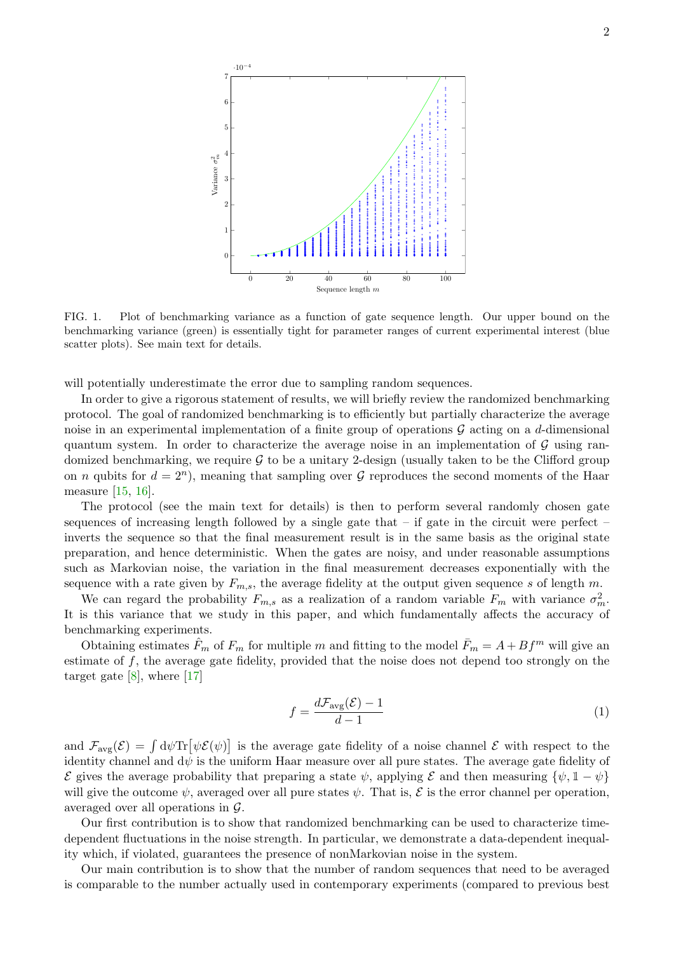

<span id="page-1-0"></span>FIG. 1. Plot of benchmarking variance as a function of gate sequence length. Our upper bound on the benchmarking variance (green) is essentially tight for parameter ranges of current experimental interest (blue scatter plots). See main text for details.

will potentially underestimate the error due to sampling random sequences.

In order to give a rigorous statement of results, we will briefly review the randomized benchmarking protocol. The goal of randomized benchmarking is to efficiently but partially characterize the average noise in an experimental implementation of a finite group of operations  $\mathcal G$  acting on a d-dimensional quantum system. In order to characterize the average noise in an implementation of  $\mathcal G$  using randomized benchmarking, we require  $G$  to be a unitary 2-design (usually taken to be the Clifford group on *n* qubits for  $d = 2^n$ , meaning that sampling over  $\mathcal G$  reproduces the second moments of the Haar measure [\[15,](#page-3-5) [16\]](#page-3-6).

The protocol (see the main text for details) is then to perform several randomly chosen gate sequences of increasing length followed by a single gate that – if gate in the circuit were perfect – inverts the sequence so that the final measurement result is in the same basis as the original state preparation, and hence deterministic. When the gates are noisy, and under reasonable assumptions such as Markovian noise, the variation in the final measurement decreases exponentially with the sequence with a rate given by  $F_{m,s}$ , the average fidelity at the output given sequence s of length m.

We can regard the probability  $F_{m,s}$  as a realization of a random variable  $F_m$  with variance  $\sigma_m^2$ . It is this variance that we study in this paper, and which fundamentally affects the accuracy of benchmarking experiments.

Obtaining estimates  $\hat{F}_m$  of  $F_m$  for multiple m and fitting to the model  $\bar{F}_m = A + Bf^m$  will give an estimate of  $f$ , the average gate fidelity, provided that the noise does not depend too strongly on the target gate  $[8]$ , where  $[17]$ 

$$
f = \frac{d\mathcal{F}_{\text{avg}}(\mathcal{E}) - 1}{d - 1} \tag{1}
$$

and  $\mathcal{F}_{\text{avg}}(\mathcal{E}) = \int d\psi \text{Tr}[\psi \mathcal{E}(\psi)]$  is the average gate fidelity of a noise channel  $\mathcal{E}$  with respect to the identity channel and  $d\psi$  is the uniform Haar measure over all pure states. The average gate fidelity of  $\mathcal E$  gives the average probability that preparing a state  $\psi$ , applying  $\mathcal E$  and then measuring  $\{\psi, 1 - \psi\}$ will give the outcome  $\psi$ , averaged over all pure states  $\psi$ . That is,  $\mathcal E$  is the error channel per operation, averaged over all operations in G.

Our first contribution is to show that randomized benchmarking can be used to characterize timedependent fluctuations in the noise strength. In particular, we demonstrate a data-dependent inequality which, if violated, guarantees the presence of nonMarkovian noise in the system.

Our main contribution is to show that the number of random sequences that need to be averaged is comparable to the number actually used in contemporary experiments (compared to previous best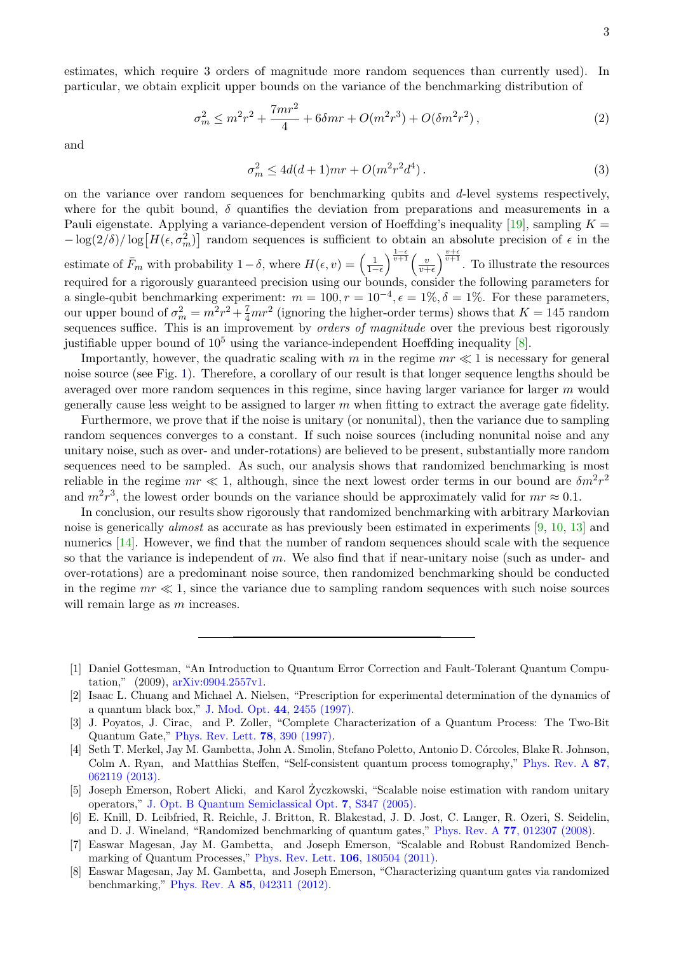estimates, which require 3 orders of magnitude more random sequences than currently used). In particular, we obtain explicit upper bounds on the variance of the benchmarking distribution of

$$
\sigma_m^2 \le m^2 r^2 + \frac{7mr^2}{4} + 6\delta mr + O(m^2 r^3) + O(\delta m^2 r^2),\tag{2}
$$

and

$$
\sigma_m^2 \le 4d(d+1)mr + O(m^2r^2d^4). \tag{3}
$$

on the variance over random sequences for benchmarking qubits and d-level systems respectively, where for the qubit bound,  $\delta$  quantifies the deviation from preparations and measurements in a Pauli eigenstate. Applying a variance-dependent version of Hoeffding's inequality [\[19\]](#page-3-8), sampling  $K =$  $-\log(2/\delta)/\log[H(\epsilon, \sigma_m^2)]$  random sequences is sufficient to obtain an absolute precision of  $\epsilon$  in the estimate of  $\bar{F}_m$  with probability  $1-\delta$ , where  $H(\epsilon, v) = \left(\frac{1}{1-\epsilon}\right)^{\frac{1-\epsilon}{v+1}} \left(\frac{v}{v+h}\right)^{\frac{1}{v+1}}$  $\frac{v}{v+\epsilon}$   $\frac{v+\epsilon}{v+\epsilon}$ . To illustrate the resources required for a rigorously guaranteed precision using our bounds, consider the following parameters for a single-qubit benchmarking experiment:  $m = 100, r = 10^{-4}, \epsilon = 1\%, \delta = 1\%$ . For these parameters, our upper bound of  $\sigma_m^2 = m^2r^2 + \frac{7}{4}mr^2$  (ignoring the higher-order terms) shows that  $K = 145$  random sequences suffice. This is an improvement by *orders of magnitude* over the previous best rigorously justifiable upper bound of  $10^5$  using the variance-independent Hoeffding inequality [\[8\]](#page-2-6).

Importantly, however, the quadratic scaling with m in the regime  $mr \ll 1$  is necessary for general noise source (see Fig. [1\)](#page-1-0). Therefore, a corollary of our result is that longer sequence lengths should be averaged over more random sequences in this regime, since having larger variance for larger m would generally cause less weight to be assigned to larger  $m$  when fitting to extract the average gate fidelity.

Furthermore, we prove that if the noise is unitary (or nonunital), then the variance due to sampling random sequences converges to a constant. If such noise sources (including nonunital noise and any unitary noise, such as over- and under-rotations) are believed to be present, substantially more random sequences need to be sampled. As such, our analysis shows that randomized benchmarking is most reliable in the regime  $mr \ll 1$ , although, since the next lowest order terms in our bound are  $\delta m^2 r^2$ and  $m^2r^3$ , the lowest order bounds on the variance should be approximately valid for  $mr \approx 0.1$ .

In conclusion, our results show rigorously that randomized benchmarking with arbitrary Markovian noise is generically almost as accurate as has previously been estimated in experiments [\[9,](#page-3-9) [10,](#page-3-0) [13\]](#page-3-3) and numerics [\[14\]](#page-3-4). However, we find that the number of random sequences should scale with the sequence so that the variance is independent of  $m$ . We also find that if near-unitary noise (such as under- and over-rotations) are a predominant noise source, then randomized benchmarking should be conducted in the regime  $mr \ll 1$ , since the variance due to sampling random sequences with such noise sources will remain large as m increases.

<span id="page-2-0"></span><sup>[1]</sup> Daniel Gottesman, "An Introduction to Quantum Error Correction and Fault-Tolerant Quantum Computation," (2009), [arXiv:0904.2557v1.](http://arxiv.org/abs/0904.2557v1)

<span id="page-2-1"></span><sup>[2]</sup> Isaac L. Chuang and Michael A. Nielsen, "Prescription for experimental determination of the dynamics of a quantum black box," J. Mod. Opt. 44[, 2455 \(1997\).](http://dx.doi.org/10.1080/09500349708231894)

<span id="page-2-2"></span><sup>[3]</sup> J. Poyatos, J. Cirac, and P. Zoller, "Complete Characterization of a Quantum Process: The Two-Bit Quantum Gate," [Phys. Rev. Lett.](http://dx.doi.org/ 10.1103/PhysRevLett.78.390) 78, 390 (1997).

<span id="page-2-3"></span><sup>[4]</sup> Seth T. Merkel, Jay M. Gambetta, John A. Smolin, Stefano Poletto, Antonio D. Córcoles, Blake R. Johnson, Colm A. Ryan, and Matthias Steffen, "Self-consistent quantum process tomography," [Phys. Rev. A](http://dx.doi.org/10.1103/PhysRevA.87.062119) 87, [062119 \(2013\).](http://dx.doi.org/10.1103/PhysRevA.87.062119)

<span id="page-2-4"></span><sup>[5]</sup> Joseph Emerson, Robert Alicki, and Karol Zyczkowski, "Scalable noise estimation with random unitary ˙ operators," [J. Opt. B Quantum Semiclassical Opt.](http://dx.doi.org/10.1088/1464-4266/7/10/021) 7, S347 (2005).

<sup>[6]</sup> E. Knill, D. Leibfried, R. Reichle, J. Britton, R. Blakestad, J. D. Jost, C. Langer, R. Ozeri, S. Seidelin, and D. J. Wineland, "Randomized benchmarking of quantum gates," Phys. Rev. A 77[, 012307 \(2008\).](http://dx.doi.org/ 10.1103/PhysRevA.77.012307)

<span id="page-2-5"></span><sup>[7]</sup> Easwar Magesan, Jay M. Gambetta, and Joseph Emerson, "Scalable and Robust Randomized Bench-marking of Quantum Processes," [Phys. Rev. Lett.](http://dx.doi.org/ 10.1103/PhysRevLett.106.180504) **106**, 180504 (2011).

<span id="page-2-6"></span><sup>[8]</sup> Easwar Magesan, Jay M. Gambetta, and Joseph Emerson, "Characterizing quantum gates via randomized benchmarking," Phys. Rev. A 85[, 042311 \(2012\).](http://dx.doi.org/ 10.1103/PhysRevA.85.042311)